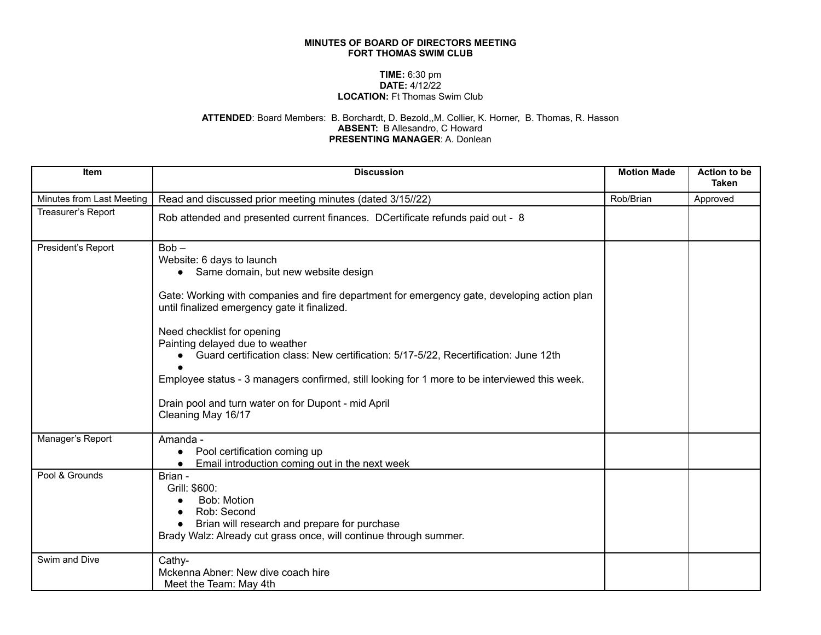## **MINUTES OF BOARD OF DIRECTORS MEETING FORT THOMAS SWIM CLUB**

## **TIME:** 6:30 pm **DATE:** 4/12/22 **LOCATION:** Ft Thomas Swim Club

## **ATTENDED**: Board Members: B. Borchardt, D. Bezold,,M. Collier, K. Horner, B. Thomas, R. Hasson **ABSENT:** B Allesandro, C Howard **PRESENTING MANAGER**: A. Donlean

| <b>Item</b>               | <b>Discussion</b>                                                                                                                                                                                                                                                                                                                                                                                                                                                                                                                                                               | <b>Motion Made</b> | <b>Action to be</b><br><b>Taken</b> |
|---------------------------|---------------------------------------------------------------------------------------------------------------------------------------------------------------------------------------------------------------------------------------------------------------------------------------------------------------------------------------------------------------------------------------------------------------------------------------------------------------------------------------------------------------------------------------------------------------------------------|--------------------|-------------------------------------|
| Minutes from Last Meeting | Read and discussed prior meeting minutes (dated 3/15//22)                                                                                                                                                                                                                                                                                                                                                                                                                                                                                                                       | Rob/Brian          | Approved                            |
| Treasurer's Report        | Rob attended and presented current finances. DCertificate refunds paid out - 8                                                                                                                                                                                                                                                                                                                                                                                                                                                                                                  |                    |                                     |
| President's Report        | $Bob -$<br>Website: 6 days to launch<br>• Same domain, but new website design<br>Gate: Working with companies and fire department for emergency gate, developing action plan<br>until finalized emergency gate it finalized.<br>Need checklist for opening<br>Painting delayed due to weather<br>Guard certification class: New certification: 5/17-5/22, Recertification: June 12th<br>$\bullet$<br>Employee status - 3 managers confirmed, still looking for 1 more to be interviewed this week.<br>Drain pool and turn water on for Dupont - mid April<br>Cleaning May 16/17 |                    |                                     |
| Manager's Report          | Amanda -<br>Pool certification coming up<br>Email introduction coming out in the next week                                                                                                                                                                                                                                                                                                                                                                                                                                                                                      |                    |                                     |
| Pool & Grounds            | Brian -<br>Grill: \$600:<br>Bob: Motion<br>$\bullet$<br>Rob: Second<br>$\bullet$<br>Brian will research and prepare for purchase<br>Brady Walz: Already cut grass once, will continue through summer.                                                                                                                                                                                                                                                                                                                                                                           |                    |                                     |
| Swim and Dive             | Cathy-<br>Mckenna Abner: New dive coach hire<br>Meet the Team: May 4th                                                                                                                                                                                                                                                                                                                                                                                                                                                                                                          |                    |                                     |